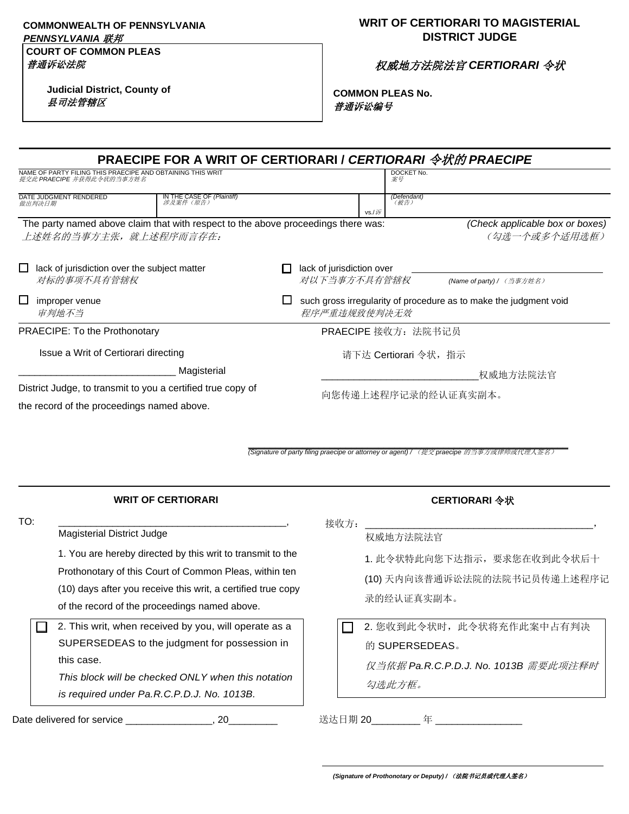#### **COMMONWEALTH OF PENNSYLVANIA**  *PENNSYLVANIA* 联邦

# **COURT OF COMMON PLEAS**

**Judicial District, County of** 县司法管辖区

### **WRIT OF CERTIORARI TO MAGISTERIAL DISTRICT JUDGE**

权威地方法院法官 *CERTIORARI* 令状

**COMMON PLEAS No.** 普通诉讼编号

| <b>PRAECIPE FOR A WRIT OF CERTIORARI / CERTIORARI 令状的 PRAECIPE</b>                                         |                                                                                        |  |  |  |  |
|------------------------------------------------------------------------------------------------------------|----------------------------------------------------------------------------------------|--|--|--|--|
| NAME OF PARTY FILING THIS PRAECIPE AND OBTAINING THIS WRIT<br>提交此 PRAECIPE 并获得此令状的当事方姓名                    | DOCKET No.<br>案号                                                                       |  |  |  |  |
| DATE JUDGMENT RENDERED<br><b>IN THE CASE OF <i>(Plaintiff)</i></b><br>涉及案件 (原告)<br>做出判决日期                  | (Defendant)<br>(被告)<br>$vs./i\overline{F}$                                             |  |  |  |  |
| The party named above claim that with respect to the above proceedings there was:<br>上述姓名的当事方主张,就上述程序而言存在: | (Check applicable box or boxes)<br>(勾选一个或多个适用选框)                                       |  |  |  |  |
| $\Box$ lack of jurisdiction over the subject matter<br>对标的事项不具有管辖权                                         | lack of jurisdiction over<br>对以下当事方不具有管辖权<br>(Name of party) / (当事方姓名)                 |  |  |  |  |
| $\Box$<br>improper venue<br>审判地不当                                                                          | ப<br>such gross irregularity of procedure as to make the judgment void<br>程序严重违规致使判决无效 |  |  |  |  |
| PRAECIPE: To the Prothonotary                                                                              | PRAECIPE 接收方: 法院书记员                                                                    |  |  |  |  |
| Issue a Writ of Certiorari directing                                                                       | 请下达 Certiorari 令状,指示                                                                   |  |  |  |  |
| Magisterial                                                                                                | 权威地方法院法官                                                                               |  |  |  |  |
| District Judge, to transmit to you a certified true copy of                                                | 向您传递上述程序记录的经认证真实副本。                                                                    |  |  |  |  |
| the record of the proceedings named above.                                                                 |                                                                                        |  |  |  |  |

**\_\_\_\_\_\_\_\_\_\_\_\_\_\_\_\_\_\_\_\_\_\_\_\_\_\_\_\_\_\_\_\_\_\_\_\_\_\_\_\_\_\_\_\_\_\_\_\_\_\_\_\_\_\_\_\_\_\_\_** *(Signature of party filing praecipe or attorney or agent) /* (提交 *praecipe* 的当事方或律师或代理人签名)

|     | <b>WRIT OF CERTIORARI</b>                                                                                                                                                                                                                                           |      | CERTIORARI 令状                                                                                 |
|-----|---------------------------------------------------------------------------------------------------------------------------------------------------------------------------------------------------------------------------------------------------------------------|------|-----------------------------------------------------------------------------------------------|
| TO: | Magisterial District Judge<br>1. You are hereby directed by this writ to transmit to the<br>Prothonotary of this Court of Common Pleas, within ten<br>(10) days after you receive this writ, a certified true copy<br>of the record of the proceedings named above. | 接收方: | 权威地方法院法官<br>1. 此令状特此向您下达指示, 要求您在收到此令状后十<br>(10) 天内向该普通诉讼法院的法院书记员传递上述程序i<br>录的经认证真实副本。         |
|     | 2. This writ, when received by you, will operate as a<br>SUPERSEDEAS to the judgment for possession in<br>this case.<br>This block will be checked ONLY when this notation<br>is required under Pa.R.C.P.D.J. No. 1013B.                                            |      | 2. 您收到此令状时, 此令状将充作此案中占有判决<br>的 SUPERSEDEAS。<br>仅当依据 Pa.R.C.P.D.J. No. 1013B 需要此项注释时<br>勾选此方框。 |

Date delivered for service \_\_\_\_\_\_\_\_\_\_\_\_\_\_\_\_, 20\_\_\_\_\_\_\_\_\_\_

送达日期 20\_\_\_\_\_\_\_\_\_ 年 \_\_\_\_\_\_\_\_\_\_\_\_\_\_\_\_